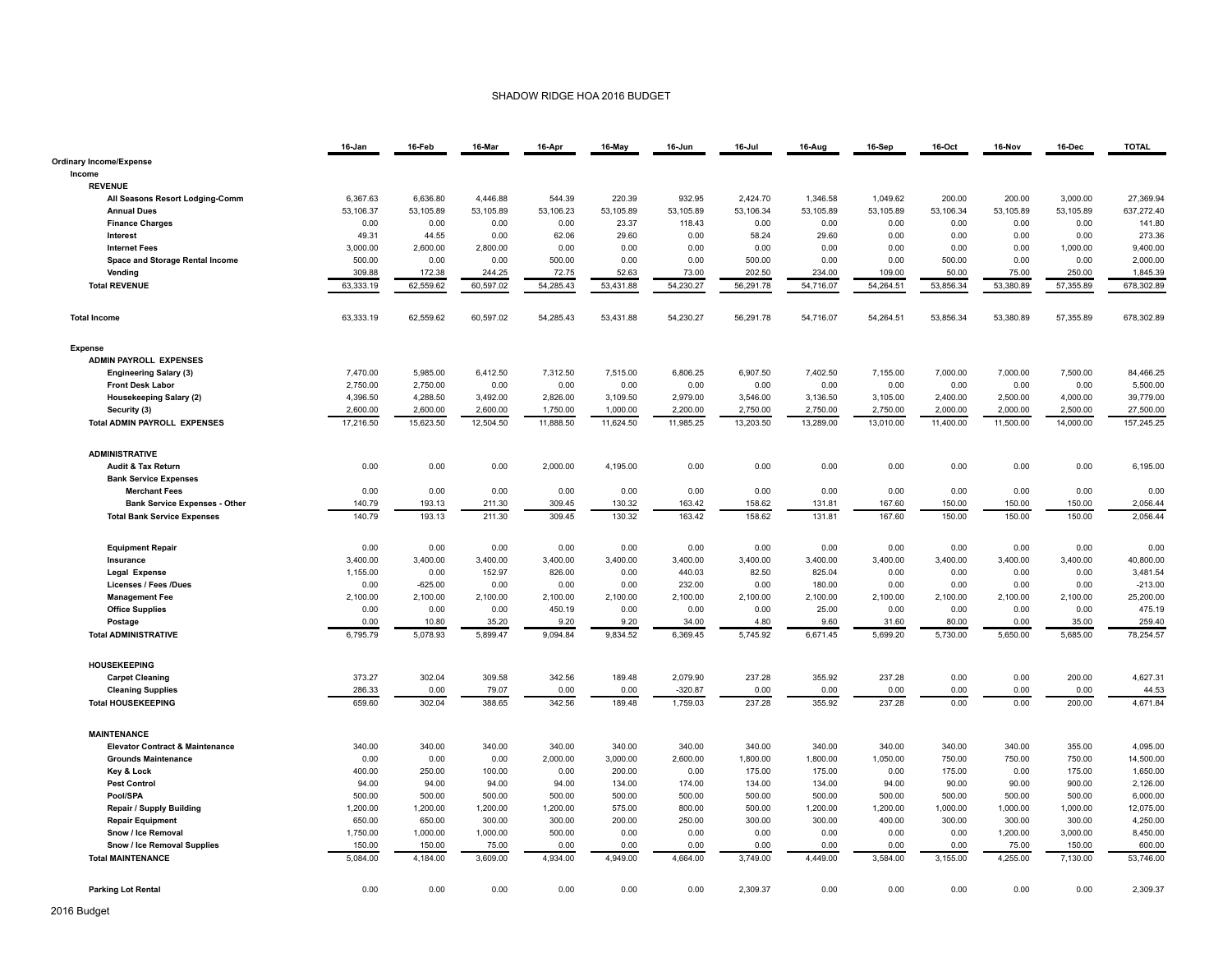## SHADOW RIDGE HOA 2016 BUDGET

|                                            | 16-Jan    | 16-Feb    | 16-Mar    | 16-Apr    | 16-May    | 16-Jun    | 16-Jul    | 16-Aug    | 16-Sep    | 16-Oct    | 16-Nov    | 16-Dec    | <b>TOTAL</b> |
|--------------------------------------------|-----------|-----------|-----------|-----------|-----------|-----------|-----------|-----------|-----------|-----------|-----------|-----------|--------------|
| <b>Ordinary Income/Expense</b>             |           |           |           |           |           |           |           |           |           |           |           |           |              |
| Income                                     |           |           |           |           |           |           |           |           |           |           |           |           |              |
| <b>REVENUE</b>                             |           |           |           |           |           |           |           |           |           |           |           |           |              |
| All Seasons Resort Lodging-Comm            | 6,367.63  | 6,636.80  | 4,446.88  | 544.39    | 220.39    | 932.95    | 2,424.70  | 1,346.58  | 1,049.62  | 200.00    | 200.00    | 3,000.00  | 27,369.94    |
| <b>Annual Dues</b>                         | 53,106.37 | 53,105.89 | 53,105.89 | 53,106.23 | 53,105.89 | 53,105.89 | 53,106.34 | 53,105.89 | 53,105.89 | 53,106.34 | 53,105.89 | 53,105.89 | 637,272.40   |
| <b>Finance Charges</b>                     | 0.00      | 0.00      | 0.00      | 0.00      | 23.37     | 118.43    | 0.00      | 0.00      | 0.00      | 0.00      | 0.00      | 0.00      | 141.80       |
| Interest                                   | 49.31     | 44.55     | 0.00      | 62.06     | 29.60     | 0.00      | 58.24     | 29.60     | 0.00      | 0.00      | 0.00      | 0.00      | 273.36       |
| <b>Internet Fees</b>                       | 3,000.00  | 2,600.00  | 2,800.00  | 0.00      | 0.00      | 0.00      | 0.00      | 0.00      | 0.00      | 0.00      | 0.00      | 1,000.00  | 9,400.00     |
| Space and Storage Rental Income            | 500.00    | 0.00      | 0.00      | 500.00    | 0.00      | 0.00      | 500.00    | 0.00      | 0.00      | 500.00    | 0.00      | 0.00      | 2,000.00     |
| Vending                                    | 309.88    | 172.38    | 244.25    | 72.75     | 52.63     | 73.00     | 202.50    | 234.00    | 109.00    | 50.00     | 75.00     | 250.00    | 1,845.39     |
| <b>Total REVENUE</b>                       | 63,333.19 | 62,559.62 | 60,597.02 | 54,285.43 | 53,431.88 | 54.230.27 | 56,291.78 | 54.716.07 | 54,264.51 | 53,856.34 | 53,380.89 | 57,355.89 | 678,302.89   |
| <b>Total Income</b>                        | 63,333.19 | 62,559.62 | 60,597.02 | 54,285.43 | 53,431.88 | 54,230.27 | 56,291.78 | 54,716.07 | 54,264.51 | 53,856.34 | 53,380.89 | 57,355.89 | 678,302.89   |
| <b>Expense</b>                             |           |           |           |           |           |           |           |           |           |           |           |           |              |
| <b>ADMIN PAYROLL EXPENSES</b>              |           |           |           |           |           |           |           |           |           |           |           |           |              |
| <b>Engineering Salary (3)</b>              | 7,470.00  | 5,985.00  | 6,412.50  | 7,312.50  | 7,515.00  | 6,806.25  | 6,907.50  | 7,402.50  | 7,155.00  | 7,000.00  | 7,000.00  | 7,500.00  | 84,466.25    |
| <b>Front Desk Labor</b>                    | 2,750.00  | 2,750.00  | 0.00      | 0.00      | 0.00      | 0.00      | 0.00      | 0.00      | 0.00      | 0.00      | 0.00      | 0.00      | 5,500.00     |
| <b>Housekeeping Salary (2)</b>             | 4,396.50  | 4,288.50  | 3,492.00  | 2,826.00  | 3,109.50  | 2,979.00  | 3,546.00  | 3,136.50  | 3,105.00  | 2,400.00  | 2,500.00  | 4,000.00  | 39,779.00    |
| Security (3)                               | 2,600.00  | 2,600.00  | 2,600.00  | 1,750.00  | 1,000.00  | 2,200.00  | 2.750.00  | 2,750.00  | 2,750.00  | 2,000.00  | 2,000.00  | 2,500.00  | 27,500.00    |
| <b>Total ADMIN PAYROLL EXPENSES</b>        | 17,216.50 | 15,623.50 | 12,504.50 | 11,888.50 | 11,624.50 | 11,985.25 | 13,203.50 | 13,289.00 | 13,010.00 | 11,400.00 | 11,500.00 | 14,000.00 | 157,245.25   |
| <b>ADMINISTRATIVE</b>                      |           |           |           |           |           |           |           |           |           |           |           |           |              |
| Audit & Tax Return                         | 0.00      | 0.00      | 0.00      | 2,000.00  | 4,195.00  | 0.00      | 0.00      | 0.00      | 0.00      | 0.00      | 0.00      | 0.00      | 6,195.00     |
| <b>Bank Service Expenses</b>               |           |           |           |           |           |           |           |           |           |           |           |           |              |
| <b>Merchant Fees</b>                       | 0.00      | 0.00      | 0.00      | 0.00      | 0.00      | 0.00      | 0.00      | 0.00      | 0.00      | 0.00      | 0.00      | 0.00      | 0.00         |
| <b>Bank Service Expenses - Other</b>       | 140.79    | 193.13    | 211.30    | 309.45    | 130.32    | 163.42    | 158.62    | 131.81    | 167.60    | 150.00    | 150.00    | 150.00    | 2,056.44     |
| <b>Total Bank Service Expenses</b>         | 140.79    | 193.13    | 211.30    | 309.45    | 130.32    | 163.42    | 158.62    | 131.81    | 167.60    | 150.00    | 150.00    | 150.00    | 2,056.44     |
| <b>Equipment Repair</b>                    | 0.00      | 0.00      | 0.00      | 0.00      | 0.00      | 0.00      | 0.00      | 0.00      | 0.00      | 0.00      | 0.00      | 0.00      | 0.00         |
| Insurance                                  | 3,400.00  | 3,400.00  | 3,400.00  | 3,400.00  | 3,400.00  | 3,400.00  | 3,400.00  | 3,400.00  | 3,400.00  | 3,400.00  | 3,400.00  | 3,400.00  | 40,800.00    |
| Legal Expense                              | 1,155.00  | 0.00      | 152.97    | 826.00    | 0.00      | 440.03    | 82.50     | 825.04    | 0.00      | 0.00      | 0.00      | 0.00      | 3,481.54     |
| <b>Licenses / Fees /Dues</b>               | 0.00      | $-625.00$ | 0.00      | 0.00      | 0.00      | 232.00    | 0.00      | 180.00    | 0.00      | 0.00      | 0.00      | 0.00      | $-213.00$    |
| <b>Management Fee</b>                      | 2,100.00  | 2,100.00  | 2,100.00  | 2,100.00  | 2,100.00  | 2,100.00  | 2,100.00  | 2,100.00  | 2,100.00  | 2,100.00  | 2,100.00  | 2,100.00  | 25,200.00    |
| <b>Office Supplies</b>                     | 0.00      | 0.00      | 0.00      | 450.19    | 0.00      | 0.00      | 0.00      | 25.00     | 0.00      | 0.00      | 0.00      | 0.00      | 475.19       |
| Postage                                    | 0.00      | 10.80     | 35.20     | 9.20      | 9.20      | 34.00     | 4.80      | 9.60      | 31.60     | 80.00     | 0.00      | 35.00     | 259.40       |
| <b>Total ADMINISTRATIVE</b>                | 6,795.79  | 5,078.93  | 5,899.47  | 9,094.84  | 9,834.52  | 6,369.45  | 5,745.92  | 6,671.45  | 5,699.20  | 5,730.00  | 5,650.00  | 5,685.00  | 78,254.57    |
| <b>HOUSEKEEPING</b>                        |           |           |           |           |           |           |           |           |           |           |           |           |              |
| <b>Carpet Cleaning</b>                     | 373.27    | 302.04    | 309.58    | 342.56    | 189.48    | 2,079.90  | 237.28    | 355.92    | 237.28    | 0.00      | 0.00      | 200.00    | 4,627.31     |
| <b>Cleaning Supplies</b>                   | 286.33    | 0.00      | 79.07     | 0.00      | 0.00      | $-320.87$ | 0.00      | 0.00      | 0.00      | 0.00      | 0.00      | 0.00      | 44.53        |
| <b>Total HOUSEKEEPING</b>                  | 659.60    | 302.04    | 388.65    | 342.56    | 189.48    | 1,759.03  | 237.28    | 355.92    | 237.28    | 0.00      | 0.00      | 200.00    | 4,671.84     |
| <b>MAINTENANCE</b>                         |           |           |           |           |           |           |           |           |           |           |           |           |              |
| <b>Elevator Contract &amp; Maintenance</b> | 340.00    | 340.00    | 340.00    | 340.00    | 340.00    | 340.00    | 340.00    | 340.00    | 340.00    | 340.00    | 340.00    | 355.00    | 4,095.00     |
| <b>Grounds Maintenance</b>                 | 0.00      | 0.00      | 0.00      | 2,000.00  | 3,000.00  | 2,600.00  | 1,800.00  | 1,800.00  | 1,050.00  | 750.00    | 750.00    | 750.00    | 14,500.00    |
| Key & Lock                                 | 400.00    | 250.00    | 100.00    | 0.00      | 200.00    | 0.00      | 175.00    | 175.00    | 0.00      | 175.00    | 0.00      | 175.00    | 1,650.00     |
| <b>Pest Control</b>                        | 94.00     | 94.00     | 94.00     | 94.00     | 134.00    | 174.00    | 134.00    | 134.00    | 94.00     | 90.00     | 90.00     | 900.00    | 2,126.00     |
| Pool/SPA                                   | 500.00    | 500.00    | 500.00    | 500.00    | 500.00    | 500.00    | 500.00    | 500.00    | 500.00    | 500.00    | 500.00    | 500.00    | 6,000.00     |
| Repair / Supply Building                   | 1,200.00  | 1,200.00  | 1,200.00  | 1,200.00  | 575.00    | 800.00    | 500.00    | 1,200.00  | 1,200.00  | 1,000.00  | 1,000.00  | 1,000.00  | 12,075.00    |
| <b>Repair Equipment</b>                    | 650.00    | 650.00    | 300.00    | 300.00    | 200.00    | 250.00    | 300.00    | 300.00    | 400.00    | 300.00    | 300.00    | 300.00    | 4,250.00     |
| Snow / Ice Removal                         | 1,750.00  | 1,000.00  | 1,000.00  | 500.00    | 0.00      | 0.00      | 0.00      | 0.00      | 0.00      | 0.00      | 1,200.00  | 3,000.00  | 8,450.00     |
| Snow / Ice Removal Supplies                | 150.00    | 150.00    | 75.00     | 0.00      | 0.00      | 0.00      | 0.00      | 0.00      | 0.00      | 0.00      | 75.00     | 150.00    | 600.00       |
| <b>Total MAINTENANCE</b>                   | 5,084.00  | 4,184.00  | 3,609.00  | 4,934.00  | 4,949.00  | 4,664.00  | 3,749.00  | 4,449.00  | 3,584.00  | 3,155.00  | 4,255.00  | 7,130.00  | 53,746.00    |
| <b>Parking Lot Rental</b>                  | 0.00      | 0.00      | 0.00      | 0.00      | 0.00      | 0.00      | 2,309.37  | 0.00      | 0.00      | 0.00      | 0.00      | 0.00      | 2,309.37     |